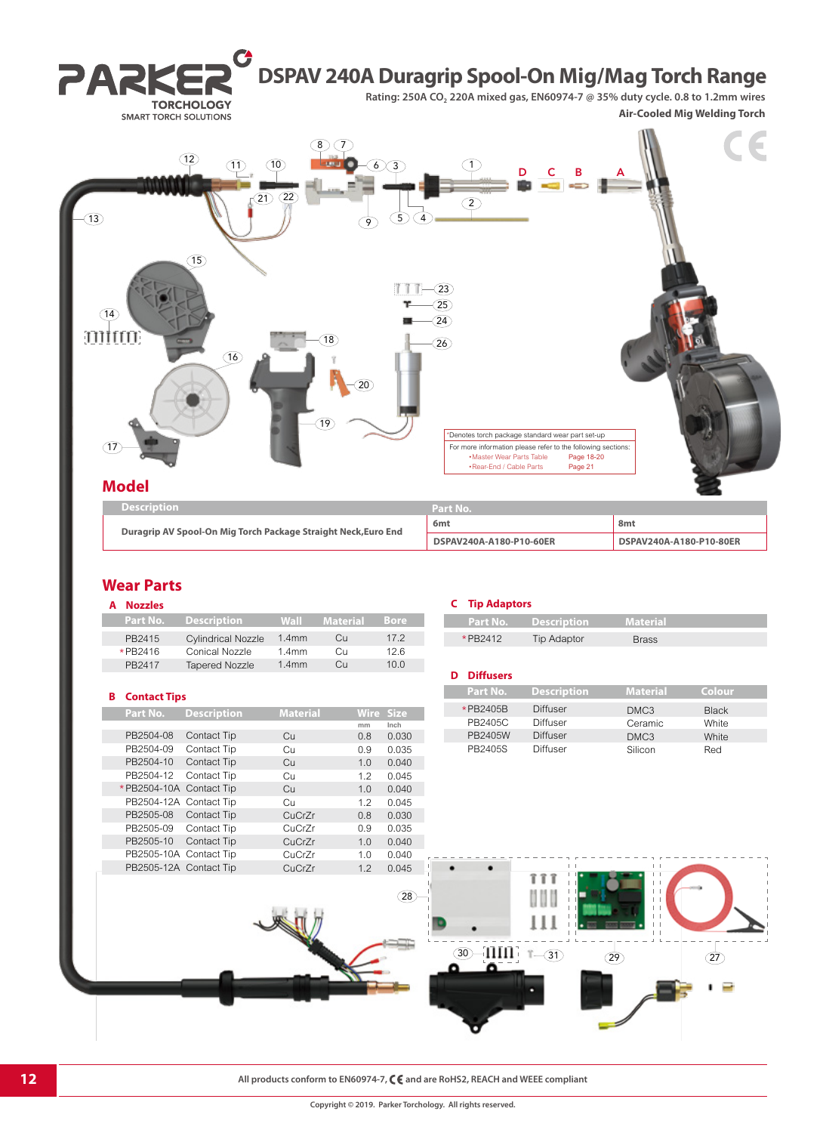

## **Wear Parts**

| <b>Nozzles</b> |                           |                   |            |             |
|----------------|---------------------------|-------------------|------------|-------------|
| Part No.       | <b>Description</b>        | Wall              | Material   | Bore        |
| PB2415         | <b>Cylindrical Nozzle</b> | 1.4 <sub>mm</sub> | Cu         | 172         |
| *PR2416        | Conical Nozzle            | 1.4 <sub>mm</sub> | Cп         | 126         |
| PR2417         | <b>Tapered Nozzle</b>     | 1.4mm             | $\bigcirc$ | 10 $\Omega$ |

#### **B Contact Tips**

**Tara** 

T.

| Part No.  | <b>Description</b>      | <b>Material</b> | <b>Wire</b> | <b>Size</b> |
|-----------|-------------------------|-----------------|-------------|-------------|
|           |                         |                 | mm          | Inch        |
| PB2504-08 | Contact Tip             | Cц              | 0.8         | 0.030       |
| PB2504-09 | Contact Tip             | Cu              | 0.9         | 0.035       |
| PB2504-10 | Contact Tip             | Cн              | 1.0         | 0.040       |
| PB2504-12 | Contact Tip             | Cн              | 1.2         | 0.045       |
|           | *PB2504-10A Contact Tip | Сū              | 1.0         | 0.040       |
|           | PB2504-12A Contact Tip  | Cн              | 1.2         | 0.045       |
| PB2505-08 | Contact Tip             | CuCrZr          | 0.8         | 0.030       |
| PB2505-09 | Contact Tip             | CuCrZr          | 0.9         | 0.035       |
| PB2505-10 | Contact Tip             | CuCrZr          | 1.0         | 0.040       |
|           | PB2505-10A Contact Tip  | CuCrZr          | 1.0         | 0.040       |
|           | PB2505-12A Contact Tip  | CuCrZr          | 1.2         | 0.045       |

#### **C Tip Adaptors**

|         | <b>Part No. Description</b> | <b>Material</b> |  |
|---------|-----------------------------|-----------------|--|
|         |                             |                 |  |
| *PR2412 | <b>Tip Adaptor</b>          | <b>Brass</b>    |  |
|         |                             |                 |  |

## **D Diffusers**

| Part No. | <b>Description</b> | <b>Material</b>  | Colour       |
|----------|--------------------|------------------|--------------|
| *PB2405B | Diffuser           | DMC <sub>3</sub> | <b>Black</b> |
| PB2405C  | Diffuser           | Ceramic          | White        |
| PB2405W  | Diffuser           | DMC <sub>3</sub> | White        |
| PB2405S  | Diffuser           | Silicon          | Red          |



**12 All products conform to EN60974-7, C**  $\epsilon$  and are RoHS2, REACH and WEEE compliant